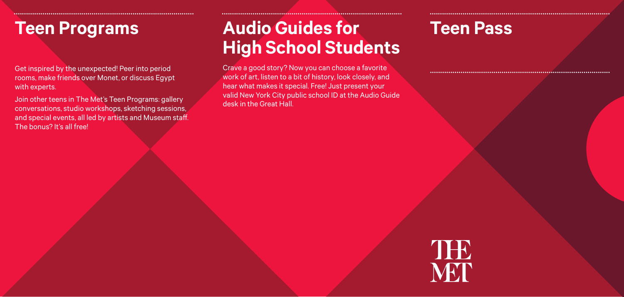## **Teen Programs**

Get inspired by the unexpected! Peer into period rooms, make friends over Monet, or discuss Egypt with experts.

Join other teens in The Met's Teen Programs: gallery conversations, studio workshops, sketching sessions, and special events, all led by artists and Museum staff. The bonus? It's all free!

# **Audio Guides for High School Students**

CCCCCCCCCCCCCCCCCCCCCCCCCCCCCCCCCCCCCCCCCCCCCCCCCCCCCCCCCCCCCCCCCCCCCCCCCCCCCCCCCCCCCCCC CCCCCCCCCCCCCCCCCCCCCCCCCCCCCCCCCCCCCCCCCCCCCCCCCCCCCCCCCCCCCCCCCCCCCCCCCCCCCCCCCCCCCCCC CCCCCCCCCCCCCCCCCCCCCCCCCCCCCCCCCCCCCCCCCCCCCCCCCCCCCCCCCCCCCCCCCCCCCCCCCCCCCCCCCCCCCCCC

Crave a good story? Now you can choose a favorite work of art, listen to a bit of history, look closely, and hear what makes it special. Free! Just present your valid New York City public school ID at the Audio Guide desk in the Great Hall.

### **Teen Pass**

CCCCCCCCCCCCCCCCCCCCCCCCCCCCCCCCCCCCCCCCCCCCCCCCCCCCCCCCCCCCCCCCCCCCCCCCCCCCCCCCCCCCCCCC